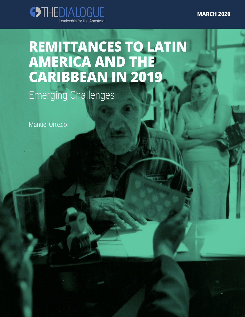**MARCH 2020**



# **REMITTANCES TO LATIN AMERICA AND THE CARIBBEAN IN 2019**

Emerging Challenges

Manuel Orozco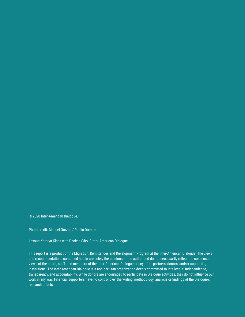© 2020 Inter-American Dialogue.

Photo credit: Manuel Orozco / Public Domain

Layout: Kathryn Klaas with Daniela Sáez / Inter-American Dialogue

This report is a product of the Migration, Remittances and Development Program at the Inter-American Dialogue. The views and recommendations contained herein are solely the opinions of the author and do not necessarily reflect the consensus views of the board, staff, and members of the Inter-American Dialogue or any of its partners, donors, and/or supporting institutions. The Inter-American Dialogue is a non-partisan organization deeply committed to intellectual independence, transparency, and accountability. While donors are encouraged to participate in Dialogue activities, they do not influence our work in any way. Financial supporters have no control over the writing, methodology, analysis or findings of the Dialogue's research efforts.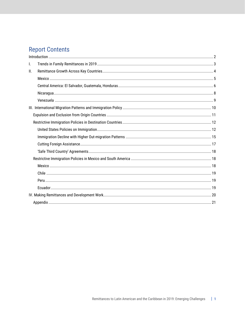# **Report Contents**

| I. |        |  |
|----|--------|--|
| Ш. |        |  |
|    | Mexico |  |
|    |        |  |
|    |        |  |
|    |        |  |
|    |        |  |
|    |        |  |
|    |        |  |
|    |        |  |
|    |        |  |
|    |        |  |
|    |        |  |
|    |        |  |
|    |        |  |
|    |        |  |
|    |        |  |
|    |        |  |
|    |        |  |
|    |        |  |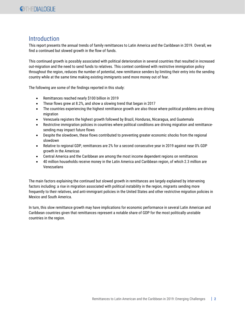# <span id="page-3-0"></span>**Introduction**

This report presents the annual trends of family remittances to Latin America and the Caribbean in 2019. Overall, we find a continued but slowed growth in the flow of funds.

This continued growth is possibly associated with political deterioration in several countries that resulted in increased out-migration and the need to send funds to relatives. This context combined with restrictive immigration policy throughout the region, reduces the number of potential, new remittance senders by limiting their entry into the sending country while at the same time making existing immigrants send more money out of fear.

The following are some of the findings reported in this study:

- Remittances reached nearly \$100 billion in 2019
- These flows grew at 8.2%, and show a slowing trend that began in 2017
- The countries experiencing the highest remittance growth are also those where political problems are driving migration
- Venezuela registers the highest growth followed by Brazil, Honduras, Nicaragua, and Guatemala
- Restrictive immigration policies in countries where political conditions are driving migration and remittancesending may impact future flows
- Despite the slowdown, these flows contributed to preventing greater economic shocks from the regional slowdown
- Relative to regional GDP, remittances are 2% for a second consecutive year in 2019 against near 0% GDP growth in the Americas
- Central America and the Caribbean are among the most income dependent regions on remittances
- 40 million households receive money in the Latin America and Caribbean region, of which 2.3 million are Venezuelans

The main factors explaining the continued but slowed growth in remittances are largely explained by intervening factors including: a rise in migration associated with political instability in the region, migrants sending more frequently to their relatives, and anti-immigrant policies in the United States and other restrictive migration policies in Mexico and South America.

In turn, this slow remittance growth may have implications for economic performance in several Latin American and Caribbean countries given that remittances represent a notable share of GDP for the most politically unstable countries in the region.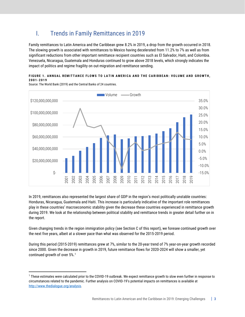# <span id="page-4-0"></span>I. Trends in Family Remittances in 2019

Family remittances to Latin America and the Caribbean grew 8.2% in 2019, a drop from the growth occurred in 2018. The slowing growth is associated with remittances to Mexico having decelerated from 11.2% to 7% as well as from significant reductions from other important remittance recipient countries such as El Salvador, Haiti, and Colombia. Venezuela, Nicaragua, Guatemala and Honduras continued to grow above 2018 levels, which strongly indicates the impact of politics and regime fragility on out-migration and remittance sending.

## FIGURE 1. ANNUAL REMITTANCE FLOWS TO LATIN AMERICA AND THE CARIBBEAN: VOLUME AND GROWTH, **2001 - 2 0 1 9**

-15.0% -10.0% -5.0% 0.0% 5.0% 10.0% 15.0% 20.0% 25.0% 30.0% 35.0% \$- \$20,000,000,000 \$40,000,000,000 \$60,000,000,000 \$80,000,000,000 \$100,000,000,000 \$120,000,000,000 2001 2002 2003 2004 2005 2006 2007 2008 2009 2010 2011 2012 2013 2014  $\overline{5}$ 2016 2017 2018 2019 Volume - Growth

Source: The World Bank (2019) and the Central Banks of 24 countries.

In 2019, remittances also represented the largest share of GDP in the region's most politically unstable countries: Honduras, Nicaragua, Guatemala and Haiti. This increase is particularly indicative of the important role remittances play in these countries' macroeconomic stability given the decrease these countries experienced in remittance growth during 2019. We look at the relationship between political stability and remittance trends in greater detail further on in the report.

Given changing trends in the region immigration policy (see Section C of this report), we foresee continued growth over the next five years, albeit at a slower pace than what was observed for the 2015-2019 period.

During this period (2015-2019) remittances grew at 7%, similar to the 20-year trend of 7% year-on-year growth recorded since 2000. Given the decrease in growth in 2019, future remittance flows for 2020-2024 will show a smaller, yet continued growth of over 5%.<sup>1</sup>

<sup>1</sup> These estimates were calculated prior to the COVID-19 outbreak. We expect remittance growth to slow even further in response to circumstances related to the pandemic. Further analysis on COVID-19's potential impacts on remittances is available at [http://www.thedialogue.org/analysis.](http://www.thedialogue.org/analysis)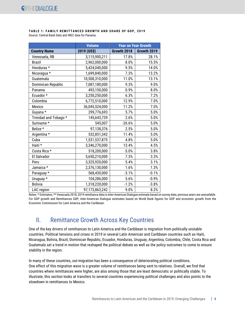#### **TABLE 1: FAMILY REMITTANCES GROWTH AND SHARE OF GDP, 2019** Source: Central Bank Data and INEC data for Panama.

|                       | <b>Volume</b>  | <b>Year on Year Growth</b> |             |
|-----------------------|----------------|----------------------------|-------------|
| <b>Country Name</b>   | 2019 (US\$)    | Growth 2018                | Growth 2019 |
| Venezuela, RB         | 3,115,900,211  | 17.8%                      | 28.1%       |
| <b>Brazil</b>         | 2,962,000,000  | 8.0%                       | 15.5%       |
| Honduras *            | 5,424,040,000  | 9.5%                       | 14.0%       |
| Nicaragua *           | 1,699,840,000  | 7.3%                       | 13.2%       |
| Guatemala             | 10,508,310,000 | 11.0%                      | 13.1%       |
| Dominican Republic    | 7,087,180,000  | 9.3%                       | 9.0%        |
| Panama                | 493,150,000    | 0.9%                       | 8.0%        |
| Ecuador*              | 3,250,250,000  | 6.3%                       | 7.2%        |
| Colombia              | 6,772,510,000  | 12.9%                      | 7.0%        |
| Mexico                | 36,045,524,000 | 11.2%                      | 7.0%        |
| Guyana *              | 299,776,693    | 5.7%                       | 5.0%        |
| Trinidad and Tobago * | 145,643,739    | 2.6%                       | 5.0%        |
| Suriname*             | 545,007        | $-26.6%$                   | 5.0%        |
| Belize *              | 97,138,376     | 2.5%                       | 5.0%        |
| Argentina *           | 532,851,342    | 11.4%                      | 5.0%        |
| Cuba                  | 1,531,537,875  | 4.8%                       | 5.0%        |
| Haiti *               | 3,346,270,000  | 13.4%                      | 4.5%        |
| Costa Rica *          | 518,200,000    | $-5.0%$                    | 3.8%        |
| El Salvador           | 5,650,210,000  | 7.3%                       | 3.3%        |
| Peru                  | 3,325,920,000  | 5.4%                       | 3.1%        |
| Jamaica *             | 2,376,130,000  | 1.6%                       | 1.3%        |
| Paraguay *            | 568,430,000    | $-3.1%$                    | $-0.1%$     |
| Uruguay *             | 104,286,000    | 5.6%                       | $-0.9%$     |
| <b>Bolivia</b>        | 1,318,220,000  | $-1.2%$                    | $-3.8%$     |
| LAC region            | 97,173,863,242 | 9.0%                       | 8.2%        |

Notes: \* Estimates; \*\* Venezuela 2018, 2019 remittance data is Inter-American Dialogue estimate based on survey data; previous years are unavailable. For GDP growth and Remittances GDP, Inter-American Dialogue estimates based on World Bank figures for GDP and economic growth from the Economic Commission for Latin America and the Caribbean.

# <span id="page-5-0"></span>II. Remittance Growth Across Key Countries

One of the key drivers of remittances to Latin America and the Caribbean is migration from politically unstable countries. Political tensions and crises in 2019 in several Latin American and Caribbean countries such as Haiti, Nicaragua, Bolivia, Brazil, Dominican Republic, Ecuador, Honduras, Uruguay, Argentina, Colombia, Chile, Costa Rica and Guatemala set a trend in motion that reshaped the political debate as well as the policy outcomes to come to ensure stability in the region.

In many of these countries, out-migration has been a consequence of deteriorating political conditions. One effect of this migration wave is a greater volume of remittances being sent to relatives. Overall, we find that countries where remittances were higher, are also among those that are least democratic or politically stable. To illustrate, this section looks at transfers to several countries experiencing political challenges and also points to the slowdown in remittances to Mexico.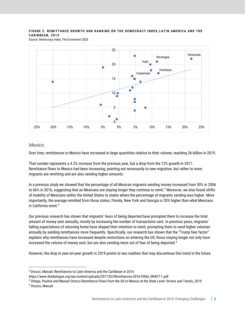## FIGURE 2. REMITTANCE GROWTH AND RANKING ON THE DEMOCRACY INDEX, LATIN AMERICA AND THE **C A R I B B E A N , 2 0 1 9**

Source: Democracy Index, The Economist 2020.



## <span id="page-6-0"></span>*Mexico*

Over time, remittances to Mexico have increased in large quantities relative to their volume, reaching 36 billion in 2019.

That number represents a 4.2% increase from the previous year, but a drop from the 12% growth in 2017. Remittance flows to Mexico had been increasing, pointing not necessarily to new migration, but rather to more migrants are remitting and are also sending higher amounts.

In a previous study we showed that the percentage of all Mexican migrants sending money increased from 50% in 2006 to 66% in 2016, suggesting that as Mexicans are staying longer they continue to remit. $^2$  Moreover, we also found shifts of mobility of Mexicans within the United States to states where the percentage of migrants sending was higher. More importantly, the average remitted from those states, Florida, New York and Georgia is 20% higher than what Mexicans in California remit.<sup>3</sup>

Our previous research has shown that migrants' fears of being deported have prompted them to increase the total amount of money sent annually, mostly by increasing the number of transactions sent. In previous years, migrants' falling expectations of returning home have shaped their intention to remit, prompting them to send higher volumes annually by sending remittances more frequently. Specifically, our research has shown that the "Trump fear factor" explains why remittances have increased despite restrictions on entering the US; those staying longer not only have increased the volume of money sent, but are also sending more out of fear of being deported. 4

However, the drop in year-on-year growth in 2019 points to two realities that may discontinue this trend in the future.

<sup>2</sup> Orozco, Manuel, Remittances to Latin America and the Caribbean in 2016

https://www.thedialogue.org/wp-content/uploads/2017/02/Remittances-2016-FINAL-DRAFT-1.pdf

<sup>3</sup> Ortega, Paulina and Manuel Orozco Remittance Flows from the US to Mexico at the State Level: Drivers and Trends, 2019.

<sup>4</sup> Orozco, Manuel.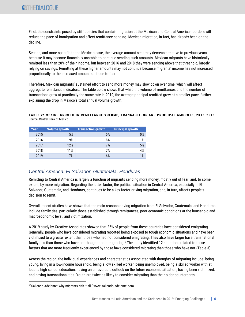First, the constraints posed by stiff policies that contain migration at the Mexican and Central American borders will reduce the pace of immigration and affect remittance sending. Mexican migration, in fact, has already been on the decline.

Second, and more specific to the Mexican case, the average amount sent may decrease relative to previous years because it may become financially unstable to continue sending such amounts. Mexican migrants have historically remitted less than 20% of their income, but between 2016 and 2018 they were sending above that threshold, largely relying on savings. Remitting at these higher amounts may not continue because migrants' income has not increased proportionally to the increased amount sent due to fear.

Therefore, Mexican migrants' sustained effort to send more money may slow down over time, which will affect aggregate remittance indicators. The table below shows that while the volume of remittances and the number of transactions grew at practically the same rate in 2019, the average principal remitted grew at a smaller pace, further explaining the drop in Mexico's total annual volume growth.

**T A B L E 2 : M E X I C O G R O W T H I N R E M I T T A N C E V O L U M E , T R A N S A C T I O N S A N D P R I N C I P A L A M O U N T S , 2 0 1 5 - 2019** Source: Central Bank of Mexico.

| Year | Volume growth | <b>Transaction growth</b> | <b>Principal growth</b> |
|------|---------------|---------------------------|-------------------------|
| 2015 | 5%            | 5%                        | 0%                      |
| 2016 | 9%            | 8%                        | 1%                      |
| 2017 | 12%           | 7%                        | 5%                      |
| 2018 | 11%           | 7%                        | 4%                      |
| 2019 | 7%            | 6%                        | 1%                      |

# <span id="page-7-0"></span>*Central America: El Salvador, Guatemala, Honduras*

Remitting to Central America is largely a function of migrants sending more money, mostly out of fear, and, to some extent, by more migration. Regarding the latter factor, the political situation in Central America, especially in El Salvador, Guatemala, and Honduras, continues to be a key factor driving migration, and, in turn, affects people's decision to remit.

Overall, recent studies have shown that the main reasons driving migration from El Salvador, Guatemala, and Honduras include family ties, particularly those established through remittances, poor economic conditions at the household and macroeconomic level, and victimization.

A 2019 study by Creative Associates showed that 25% of people from these countries have considered emigrating. Generally, people who have considered migrating reported being exposed to tough economic situations and have been victimized to a greater extent than those who had not considered emigrating. They also have larger have transnational family ties than those who have not thought about migrating. <sup>5</sup> The study identified 12 situations related to these factors that are more frequently experienced by those have considered migrating than those who have not (Table 3).

Across the region, the individual experiences and characteristics associated with thoughts of migrating include: being young, living in a low-income household, being a low skilled worker, being unemployed, being a skilled worker with at least a high school education, having an unfavorable outlook on the future economic situation, having been victimized, and having transnational ties. Youth are twice as likely to consider migrating than their older counterparts.

<sup>5</sup> "Saliendo Adelante: Why migrants risk it all," www.saliendo-adelante.com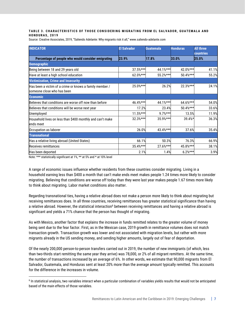#### TABLE 3. CHARACTERISTICS OF THOSE CONSIDERING MIGRATING FROM EL SALVADOR, GUATEMALA AND **H O N D U R A S , 2 0 1 9**

Source: Creative Associates, 2019, "Saliendo Adelante: Why migrants risk it all," www.saliendo-adelante.com

| <b>INDICATOR</b>                                                                      | <b>El Salvador</b> | <b>Guatemala</b> | <b>Honduras</b> | <b>All three</b><br><b>countries</b> |
|---------------------------------------------------------------------------------------|--------------------|------------------|-----------------|--------------------------------------|
| Percentage of people who would consider emigrating                                    | 23.9%              | 17.8%            | 33.0%           | 25.0%                                |
| <b>Demographic</b>                                                                    |                    |                  |                 |                                      |
| Being between 18 and 29 years old                                                     | 37.5%***           | 44.1%***         | 42.0%***        | 41.1%                                |
| Have at least a high school education                                                 | 62.0%***           | 55.2%***         | 50.4%***        | 55.2%                                |
| <b>Victimization, Crime and Insecurity</b>                                            |                    |                  |                 |                                      |
| Has been a victim of a crime or knows a family member /<br>someone close who has been | 25.0%***           | 26.2%            | 22.3%***        | 24.1%                                |
| <b>Economic</b>                                                                       |                    |                  |                 |                                      |
| Believes that conditions are worse off now than before                                | 46.4%***           | 44.1%***         | 64.6%***        | 54.0%                                |
| Believes that conditions will be worse next year                                      | 17.2%              | 23.4%            | 50.4%***        | 33.6%                                |
| Unemployed                                                                            | $11.5%***$         | $9.7%***$        | 13.5%           | 11.9%                                |
| Household lives on less than \$400 monthly and can't make<br>ends meet                | 32.3%***           | $35.9%***$       | $39.4%$ *       | 36.3%                                |
| Occupation as laborer                                                                 | 26.0%              | 43.4%***         | 37.6%           | 35.4%                                |
| <b>Transnational</b>                                                                  |                    |                  |                 |                                      |
| Has a relative living abroad (United States)                                          | 66.1%              | 50.3%            | 76.3%           | 66.9%                                |
| Receives remittances                                                                  | 35.4%***           | 27.6%***         | 45.8%***        | 38.1%                                |
| Has been deported                                                                     | 2.1%               | 1.4%             | $6.2%***$       | 3.9%                                 |

Note: \*\*\* statistically significant at 1%, \*\* at 5% and \* at 10% level

A range of economic issues influence whether residents from these countries consider migrating. Living in a household earning less than \$400 a month that can't make ends meet makes people 1.24 times more likely to consider migrating. Believing that conditions are worse off today than they were last year makes people 1.67 times more likely to think about migrating. Labor market conditions also matter.

Regarding transnational ties, having a relative abroad does not make a person more likely to think about migrating but receiving remittances does. In all three countries, receiving remittances has greater statistical significance than having a relative abroad. However, the statistical interaction<sup>6</sup> between receiving remittances and having a relative abroad is significant and yields a 71% chance that the person has thought of migrating.

As with Mexico, another factor that explains the increase in funds remitted relates to the greater volume of money being sent due to the fear factor. First, as in the Mexican case, 2019 growth in remittance volumes does not match transaction growth. Transaction growth was lower and not associated with migration levels, but rather with more migrants already in the US sending money, and sending higher amounts, largely out of fear of deportation.

Of the nearly 200,000 person-to-person transfers carried out in 2019, the number of new immigrants (of which, less than two-thirds start remitting the same year they arrive) was 78,000, or 2% of all migrant remitters. At the same time, the number of transactions increased by an average of 6%. In other words, we estimate that 90,000 migrants from El Salvador, Guatemala, and Honduras sent at least 20% more than the average amount typically remitted. This accounts for the difference in the increases in volume.

<sup>&</sup>lt;sup>6</sup> In statistical analysis, two variables interact when a particular combination of variables yields results that would not be anticipated based of the main effects of those variables.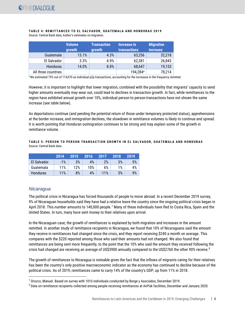|                     | <b>Volume</b><br>growth | <b>Transaction</b><br>growth | Increase in<br><b>transactions</b> | <b>Migration</b><br><b>increase</b> |
|---------------------|-------------------------|------------------------------|------------------------------------|-------------------------------------|
| <b>Guatemala</b>    | 13.1%                   | 4.3%                         | 63,256                             | 32,218                              |
| El Salvador         | 3.3%                    | 4.9%                         | 62,381                             | 26,843                              |
| Honduras            | 14.0%                   | 8.8%                         | 68,647                             | 19,153                              |
| All three countries |                         |                              | 194,284 <sup>a</sup>               | 78,214                              |

#### **TABLE 4: REMITTANCES TO EL SALVADOR, GUATEMALA AND HONDURAS 2019** Source: Central Bank data; Author's estimates on migration.

<sup>a</sup>We estimated 75% out of 114,070 as individual p2p transactions, accounting for the increases in the frequency remitted.

However, it is important to highlight that lower migration, combined with the possibility that migrants' capacity to send higher amounts eventually may wear out, could lead to declines in transaction growth. In fact, while remittances to the region have exhibited annual growth over 10%, individual person-to person-transactions have not shown the same increase (see table below).

As deportations continue (and pending the potential return of those under temporary protected status), apprehensions at the border increase, and immigration declines, the slowdown in remittance volumes is likely to continue and spread. It is worth pointing that Honduran outmigration continues to be strong and may explain some of the growth in remittance volume.

#### TABLE 5: PERSON TO PERSON TRANSACTION GROWTH IN EL SALVADOR, GUATEMALA AND HONDURAS Source: Central Bank data.

|                 | 2014  | 2015 | 2016 | 2017   | 2018 | 2019 |
|-----------------|-------|------|------|--------|------|------|
| El Salvador     | $-1%$ | 3%   | 4%   | 2%     | 3%   | 5%   |
| Guatemala       | 11%   | 12%  | 10%  | 6%     | 1%   | 4%   |
| <b>Honduras</b> | 11%   | 8%   | 4%   | $-11%$ | 5%   | 9%   |

# <span id="page-9-0"></span>*Nicaragua*

The political crisis in Nicaragua has forced thousands of people to move abroad. In a recent December 2019 survey, 9% of Nicaraguan households said they have had a relative leave the country since the ongoing political crisis began in April 2018. This number amounts to 140,000 people.<sup>7</sup> Many of these individuals have fled to Costa Rica, Spain and the United States. In turn, many have sent money to their relatives upon arrival.

In the Nicaraguan case, the growth of remittances is explained by both migration and increases in the amount remitted. In another study of remittance recipients in Nicaragua, we found that 10% of Nicaraguans said the amount they receive in remittances had changed since the crisis, and they report receiving \$240 a month on average. This compares with the \$220 reported among those who said their amounts had not changed. We also found that remittances are being sent more frequently, to the point that the 10% who said the amount they received following the crisis had changed are receiving an average of US\$3900 annually compared to the US\$2760 the other 90% receive. 8

The growth of remittances to Nicaragua is noteable given the fact that the inflows of migrants caring for their relatives has been the country's only positive macroeconomic indicator as the economy has continued to decline because of the political crisis. As of 2019, remittances came to carry 14% of the country's GDP, up from 11% in 2018.

<sup>7</sup> Orozco, Manuel. Based on survey with 1010 individuals conducted by Borge y Asociados, December 2019.

<sup>8</sup> Data on remittance recipients collected among people receiving remittances at AirPak facilities, December and January 2020.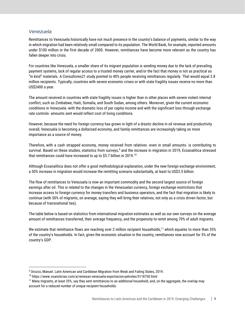## <span id="page-10-0"></span>*Venezuela*

Remittances to Venezuela historically have not much presence in the country's balance of payments, similar to the way in which migration had been relatively small compared to its population. The World Bank, for example, reported amounts under \$100 million in the first decade of 2000. However, remittances have become more relevant as the country has fallen deeper into crisis.

For countries like Venezuela, a smaller share of its migrant population is sending money due to the lack of prevailing payment systems, lack of regular access to a trusted money carrier, and/or the fact that money is not as practical as "in kind" materials. A Consultores21 study pointed to 40% people receiving remittances regularly. That would equal 2.8 million recipients. Typically, countries with severe economic crises or with state fragility issues receive no more than US\$2400 a year.

The amount received in countries with state fragility issues is higher than in other places with severe violent internal conflict, such as Zimbabwe, Haiti, Somalia, and South Sudan, among others. Moreover, given the current economic conditions in Venezuela -with the dramatic loss of per capita income and with the significant loss through exchange rate controls- amounts sent would reflect cost of living conditions.

However, because the need for foreign currency has grown in light of a drastic decline in oil revenue and productivity overall, Venezuela is becoming a dollarized economy, and family remittances are increasingly taking on more importance as a source of money.

Therefore, with a cash strapped economy, money received from relatives -even in small amounts- is contributing to survival. Based on these studies, statistics from surveys, $9$  and the increase in migration in 2019, Ecoanalítica stressed that remittances could have increased to up to \$3.7 billion in 2019.<sup>10</sup>

Although Ecoanalítica does not offer a good methodological explanation, under the new foreign exchange environment, a 30% increase in migration would increase the remitting scenario substantially, at least to US\$3.5 billion.

The flow of remittances to Venezuela is now an important commodity and the second largest source of foreign earnings after oil. This is related to the changes in the Venezuelan currency, foreign exchange restrictions that increase access to foreign currency for money transfers and business operators, and the fact that migration is likely to continue (with 50% of migrants, on average, saying they will bring their relatives, not only as a crisis driven factor, but because of transnational ties).

The table below is based on statistics from international migration estimates as well as our own surveys on the average amount of remittances transferred, their average frequency, and the propensity to remit among 70% of adult migrants.

We estimate that remittance flows are reaching over 2 million recipient households,<sup>11</sup> which equates to more than 35% of the country's households. In fact, given the economic situation in the country, remittances now account for 5% of the country's GDP.

<sup>9</sup> Orozco, Manuel. Latin American and Caribbean Migration from Weak and Failing States, 2019.

<sup>10</sup> https://www.voanoticias.com/a/remesas-venezuela-exportacion-petroleo/5118750.html

 $11$  Many migrants, at least 35%, say they sent remittances to an additional household, and, on the aggregate, the overlap may account for a reduced number of unique recipient households.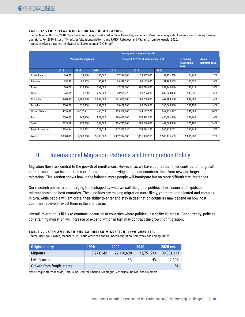#### **TABLE 6: VENEZUELAN MIGRATION AND REMITTANCES**

Source: Manuel Orozco, 2018. Data based on surveys conducted in Chile, Colombia, Panama to Venezuelan migrants. Interviews with money transfer operators. For 2019, [https://r4v.info/es/situations/platform,](https://r4v.info/es/situations/platform) and RMRP, Refugees and Migrants from Venezuela, 2020, https://reliefweb.int/sites/reliefweb.int/files/resources/72254.pdf.

|                      |           | <b>Country where migrants reside</b> |           |                                       |               |               |                                         |                                         |  |
|----------------------|-----------|--------------------------------------|-----------|---------------------------------------|---------------|---------------|-----------------------------------------|-----------------------------------------|--|
|                      |           | <b>Venezuelan migrants</b>           |           | 70% send 20-25% of their income, US\$ |               |               | <b>Receiving</b><br>households.<br>2019 | <b>Annual</b><br><b>Remitted (US\$)</b> |  |
|                      | 2018      | 2019                                 | 2020      | 2018                                  | 2019          | 2020          |                                         |                                         |  |
| Costa Rica           | 36,000    | 39,600                               | 43,560    | 27,216,000                            | 29,937,600    | 32,931,360    | 24,948                                  | 1,200                                   |  |
| Panama               | 79,990    | 87,989                               | 96,788    | 75,590,550                            | 83,149,605    | 91,464,565    | 55,433                                  | 1,500                                   |  |
| Brazil               | 50,000    | 212,400                              | 361,000   | 47,250,000                            | 200,718,000   | 341,145,000   | 133,812                                 | 1,500                                   |  |
| Chile                | 84,586    | 371,200                              | 472,000   | 79,933,770                            | 350,784,000   | 446,040,000   | 233,856                                 | 1,500                                   |  |
| Colombia             | 870,000   | 1,400,000                            | 2,009,000 | 191,835,000                           | 308,700,000   | 442,984,500   | 882,000                                 | 450                                     |  |
| Ecuador              | 200,000   | 330,400                              | 659,000   | 50,400,000                            | 83,260,800    | 166,068,000   | 208,152                                 | 400                                     |  |
| <b>United States</b> | 433,630   | 446,639                              | 460,038   | 819,560,700                           | 844,147,521   | 869,471,947   | 281,383                                 | 3,000                                   |  |
| Peru                 | 700,000   | 860,900                              | 978,000   | 286,650,000                           | 352,538,550   | 400,491,000   | 542,367                                 | 650                                     |  |
| Spain                | 202,859   | 270,000                              | 297,000   | 306,722,808                           | 408,240,000   | 449,064,000   | 170,100                                 | 2,400                                   |  |
| Rest of countries    | 579,424   | 480,872                              | 323,614   | 547,555,680                           | 454,424,135   | 305,815,261   | 302,949                                 | 1,500                                   |  |
| World                | 3,000,000 | 4,500,000                            | 5,700,000 | 2,432,714,508                         | 3,115,900,211 | 3,545,475,633 | 2,835,000                               | 1,250                                   |  |

# <span id="page-11-0"></span>III. International Migration Patterns and Immigration Policy

Migration flows are central to the growth of remittances. However, as we have pointed out, their contribution to growth in remittance flows has resulted more from immigrants living in the host countries, than from new and larger migration. This section shows how in the balance, more people will immigrate but on more difficult circumstances.

Our research points to an emerging trend shaped by what we call the global politics of exclusion and expulsion in migrant home and host countries. These politics are making migration more likely, yet more complicated and complex. In turn, while people will emigrate, their ability to enter and stay in destination countries may depend on how host countries receive or expel them in the short term.

Overall, migration is likely to continue, occurring in countries where political instability is largest. Concurrently, policies constraining migration will increase or expand, which in turn may contract the growth of migration.

#### **TABLE 7. LATIN AMERICAN AND CARIBBEAN MIGRATION, 1990-2020 EST.**

Source: UNDESA. Orozco, Manuel, 2019, "Latin American and Caribbean Migration from Weak and Failing States"

| Origin country             | 1990       | 2000       | 2010       | <b>2020 est.</b> |
|----------------------------|------------|------------|------------|------------------|
| Migrants                   | 13,271,542 | 22,110,620 | 31,751,744 | 39,881,313       |
| LAC Growth                 |            | 5%         | 4%         | 2.10%            |
| Growth from fragile states |            |            |            | 5%               |

Note: Fragile states include, Haiti, Cuba, Central America, Nicaragua, Venezuela, Bolivia, and Colombia.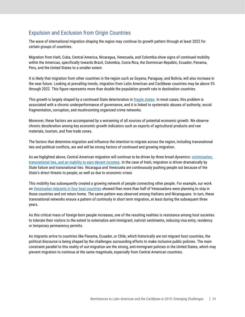# <span id="page-12-0"></span>Expulsion and Exclusion from Origin Countries

The wave of international migration shaping the region may continue its growth pattern through at least 2022 for certain groups of countries.

Migration from Haiti, Cuba, Central America, Nicaragua, Venezuela, and Colombia show signs of continued mobility within the Americas, specifically towards Brazil, Colombia, Costa Rica, the Dominican Republic, Ecuador, Panama, Peru, and the United States to a smaller extent.

It is likely that migration from other countries in the region such as Guyana, Paraguay, and Bolivia, will also increase in the near future. Looking at prevailing trends, migration from Latin American and Caribbean countries may be above 5% through 2022. This figure represents more than double the population growth rate in destination countries.

This growth is largely shaped by a continued State deterioration in [fragile states.](https://www.thedialogue.org/analysis/latin-american-and-caribbean-migration-from-weak-and-failing-states-updated/) In most cases, this problem is associated with a chronic underperformance of governance, and it is linked to systematic abuses of authority, social fragmentation, corruption, and mushrooming organized crime networks.

Moreover, these factors are accompanied by a worsening of all sources of potential economic growth. We observe chronic deceleration among key economic growth indicators such as exports of agricultural products and raw materials, tourism, and free trade zones.

The factors that determine migration and influence the intention to migrate across the region, including transnational ties and political conflicts, are and will be strong factors of continued and growing migration.

As we higlighted above, Central American migration will continue to be driven by three broad dynamics: [victimization,](http://www.saliendo-adelante.com/)  [transnational ties, and an inability to earn decent incomes.](http://www.saliendo-adelante.com/) In the case of Haiti, migration is driven dramatically by State failure and transnational ties. Nicaragua and Venezuela are continuously pushing people out because of the State's direct threats to people, as well as due to economic crises

This mobility has subsequently created a growing network of people connecting other people. For example, our work on [Venezuelan migrants in four host countries](https://www.thedialogue.org/analysis/surveys-of-venezuelans-in-four-latin-american-countries/) showed than more than half of Venezuelans were planning to stay in those countries and not return home. The same pattern was observed among Haitians and Nicaraguans. In turn, these transnational networks ensure a pattern of continuity in short term migration, at least during the subsequent three years.

As this critical mass of foreign-born people increases, one of the resulting realities is resistance among host societies to tolerate their visitors to the extent to externalize anti-immigrant, nativist sentiments, reducing visa entry, residency or temporary permanency permits.

As migrants arrive to countries like Panama, Ecuador, or Chile, which historically are not migrant host countries, the political discourse is being shaped by the challenges surrounding efforts to make inclusive public policies. The main constraint parallel to this reality of out-migration are the strong, anti-immigrant policies in the United States, which may prevent migration to continue at the same magnitude, especially from Central American countries.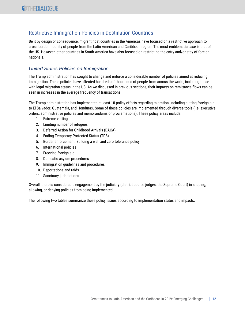# <span id="page-13-0"></span>Restrictive Immigration Policies in Destination Countries

Be it by design or consequence, migrant host countries in the Americas have focused on a restrictive approach to cross border mobility of people from the Latin American and Caribbean region. The most emblematic case is that of the US. However, other countries in South America have also focused on restricting the entry and/or stay of foreign nationals.

# <span id="page-13-1"></span>*United States Policies on Immigration*

The Trump administration has sought to change and enforce a considerable number of policies aimed at reducing immigration. These policies have affected hundreds of thousands of people from across the world, including those with legal migration status in the US. As we discussed in previous sections, their impacts on remittance flows can be seen in increases in the average frequency of transactions.

The Trump administration has implemented at least 10 policy efforts regarding migration, including cutting foreign aid to El Salvador, Guatemala, and Honduras. Some of these policies are implemented through diverse tools (i.e. executive orders, administrative policies and memorandums or proclamations). These policy areas include:

- 1. Extreme vetting
- 2. Limiting number of refugees
- 3. Deferred Action for Childhood Arrivals (DACA)
- 4. Ending Temporary Protected Status (TPS)
- 5. Border enforcement: Building a wall and zero tolerance policy
- 6. International policies
- 7. Freezing foreign aid
- 8. Domestic asylum procedures
- 9. Immigration guidelines and procedures
- 10. Deportations and raids
- 11. Sanctuary jurisdictions

Overall, there is considerable engagement by the judiciary (district courts, judges, the Supreme Court) in shaping, allowing, or denying policies from being implemented.

The following two tables summarize these policy issues according to implementation status and impacts.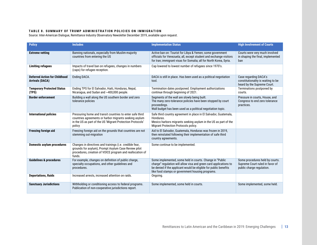#### **TABLE 8. SUMMARY OF TRUMP ADMINISTRATION POLICIES ON IMMIGRATION**

Source: Inter-American Dialogue, Remittance Industry Observatory Newsletter December 2019, available upon request.

| <b>Policy</b>                                                  | <b>Includes</b>                                                                                                                                                                             | <b>Implementation Status</b>                                                                                                                                                                                                                          | <b>High Involvement of Courts</b>                                                               |
|----------------------------------------------------------------|---------------------------------------------------------------------------------------------------------------------------------------------------------------------------------------------|-------------------------------------------------------------------------------------------------------------------------------------------------------------------------------------------------------------------------------------------------------|-------------------------------------------------------------------------------------------------|
| <b>Extreme vetting</b>                                         | Banning nationals, especially from Muslim-majority<br>countries from entering the US                                                                                                        | Active ban on: Tourist for Libya & Yemen; some government<br>officials for Venezuela; all, except student and exchange visitors<br>for Iran; immigrant visas for Somalia; all for North Korea, Syria.                                                 | Courts were very much involved<br>in shaping the final, implemented<br>ban                      |
| <b>Limiting refugees</b>                                       | Impacts of travel ban on refugees, changes in numbers<br>(caps) for refugee reception.                                                                                                      | Cap lowered to lowest number of refugees since 1970's.                                                                                                                                                                                                |                                                                                                 |
| <b>Deferred Action for Childhood</b><br><b>Arrivals (DACA)</b> | Ending DACA.                                                                                                                                                                                | DACA is still in place. Has been used as a political negotiation<br>tool.                                                                                                                                                                             | Case regarding DACA's<br>constitutionality is waiting to be<br>heard by the Supreme Court.      |
| <b>Temporary Protected Status</b><br>(TPS)                     | Ending TPS for El Salvador, Haiti, Honduras, Nepal,<br>Nicaragua, and Sudan and ~400,000 people.                                                                                            | Termination dates postponed. Employment authorizations<br>continue through beginning of 2021.                                                                                                                                                         | Terminations postponed by<br>courts.                                                            |
| <b>Border enforcement</b>                                      | Building a wall along the US southern border and zero<br>tolerance policies                                                                                                                 | Segments of the wall are slowly being built.<br>The many zero-tolerance policies have been stopped by court<br>proceedings.<br>Wall budget has been used as a political negotiation topic.                                                            | Pressure in courts, House, and<br>Congress to end zero tolerance<br>practices.                  |
| <b>International policies</b>                                  | Pressuring home and transit countries to enter safe third<br>countries agreements or harbor migrants seeking asylum<br>in the US as part of the US 'Migrant Protection Protocols'<br>policy | Safe third country agreement in place in El Salvador, Guatemala,<br>Honduras.<br>Mexico harbors migrants seeking asylum in the US as part of the<br>Migrant Protection Protocols policy.                                                              |                                                                                                 |
| <b>Freezing foreign aid</b>                                    | Freezing foreign aid on the grounds that countries are not<br>stemming out-migration                                                                                                        | Aid to El Salvador, Guatemala, Honduras was frozen in 2019,<br>then reinstated following their implementation of safe third<br>country agreements.                                                                                                    |                                                                                                 |
| <b>Domestic asylum procedures</b>                              | Changes in directives and trainings (i.e. credible fear,<br>grounds for asylum), Prompt Asylum Case Review pilot<br>procedures, creation of VOICE program and reallocation of<br>funds.     | Some continue to be implemented.                                                                                                                                                                                                                      |                                                                                                 |
| <b>Guidelines &amp; procedures</b>                             | For example, changes on definition of public charge,<br>specialty occupations, and other guidelines and<br>procedures.                                                                      | Some implemented, some held in courts. Change in "Public<br>charge" regulation will allow visa and green card applications to<br>be denied if the applicant would be eligible for public benefits<br>like food stamps or government housing programs. | Some procedures held by courts.<br>Supreme Court ruled in favor of<br>public charge regulation. |
| <b>Deportations, Raids</b>                                     | Increased arrests, increased attention on raids.                                                                                                                                            | Ongoing.                                                                                                                                                                                                                                              |                                                                                                 |
| <b>Sanctuary Jurisdictions</b>                                 | Withholding or conditioning access to federal programs.<br>Publication of non-cooperative jurisdictions report.                                                                             | Some implemented, some held in courts.                                                                                                                                                                                                                | Some implemented, some held.                                                                    |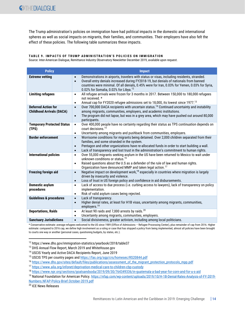The Trump administration's policies on immigration have had political impacts in the domestic and international spheres as well as social impacts on migrants, their families, and communities. Their employers have also felt the effect of these policies. The following table summarizes these impacts.

#### **TABLE 9. IMPACTS OF TRUMP ADMINISTRATION'S POLICIES ON IMMIGRATION**

Source: Inter-American Dialogue, Remittance Industry Observatory Newsletter December 2019, available upon request.

| <b>Policy</b>                                                  | <b>Impact</b>                                                                                                                                                                                                                                                                                                                                                             |
|----------------------------------------------------------------|---------------------------------------------------------------------------------------------------------------------------------------------------------------------------------------------------------------------------------------------------------------------------------------------------------------------------------------------------------------------------|
| <b>Extreme vetting</b>                                         | Demonstrations in airports, travelers with status or visas, including residents, stranded.<br>$\bullet$<br>Overall entry denials increased during FY2018-19, but denials of nationals from banned<br>$\bullet$<br>countries were minimal. Of all denials, 0.45% were for Iran, 0.03% for Yemen, 0.03% for Syria,<br>0.02% for Somalia, 0.02% for Libya. <sup>12</sup>     |
| <b>Limiting refugees</b>                                       | All refugee arrivals were frozen for 3 months in 2017. Between 150,000 to 180,000 refugees<br>$\bullet$<br>not received. *<br>Annual cap for FY2020 refugee admissions set to 18,000, its lowest since 1977. <sup>13</sup><br>$\bullet$                                                                                                                                   |
| <b>Deferred Action for</b><br><b>Childhood Arrivals (DACA)</b> | Over 700,000 DACA recipients with uncertain status. <sup>14</sup> Continued uncertainty and instability<br>$\bullet$<br>among migrants, communities, employers, and academic institutions.<br>The program did not lapse, but was in a grey area, which may have pushed out around 80,000<br>$\bullet$<br>participants.                                                    |
| <b>Temporary Protected Status</b><br>(TPS)                     | Over 400,000 people have no certainty regarding their status as TPS continuation depends on<br>$\bullet$<br>court decisions. <sup>15</sup><br>Uncertainty among migrants and pushback from communities, employers.<br>$\bullet$                                                                                                                                           |
| <b>Border enforcement</b>                                      | Worrisome conditions for migrants being detained. Over 2,000 children separated from their<br>$\bullet$<br>families, and some stranded in the system.<br>Pentagon and other organizations have re-allocated funds in order to start building a wall.<br>$\bullet$<br>Lack of transparency and lost trust in the administration's commitment to human rights.<br>$\bullet$ |
| <b>International policies</b>                                  | Over 55,000 migrants seeking asylum in the US have been returned to Mexico to wait under<br>$\bullet$<br>unknown conditions or status. <sup>16</sup><br>Raised questions about the U.S as a defender of the rule of law and human rights.<br>$\bullet$<br>Organization have denounced MMP and taken legal action. <sup>17</sup>                                           |
| <b>Freezing foreign aid</b>                                    | Negative impact on development work, <sup>18</sup> especially in countries where migration is largely<br>$\bullet$<br>driven by insecurity and violence.<br>Loss of trust in US foreign policy and confidence in aid disbursements.<br>$\bullet$                                                                                                                          |
| <b>Domestic asylum</b><br>procedures                           | Lack of access to due process (i.e. curbing access to lawyers), lack of transparency on policy<br>$\bullet$<br>implementation.<br>Risk of valid asylum cases being rejected.<br>$\bullet$                                                                                                                                                                                 |
| <b>Guidelines &amp; procedures</b>                             | Lack of transparency.<br>$\bullet$<br>Higher denial rates, at least for H1B visas, uncertainty among migrants, communities,<br>$\bullet$<br>employers. <sup>19</sup>                                                                                                                                                                                                      |
| <b>Deportations, Raids</b>                                     | At least 90 raids and 7,000 arrests by raids. <sup>20</sup><br>$\bullet$<br>Uncertainty among migrants, communities, employers.<br>$\bullet$                                                                                                                                                                                                                              |
| <b>Sanctuary Jurisdictions</b>                                 | Social divisiveness, greater activism, including among local politicians.<br>$\bullet$                                                                                                                                                                                                                                                                                    |

\* Conservative estimate: average refugees welcomed to the US since 1989 (Office of Admissions – Refugee Processing Center), plus remainder of cap from 2016. Higher estimate: compared to 2016 cap, we define high involvement as a ruling or case that has stopped a policy from being implemented, almost all policies have been brought to courts one way or another (personal cases, questioning budgets, by states, etc.).

<sup>20</sup> ICE News Releases

<sup>12</sup> https://www.dhs.gov/immigration-statistics/yearbook/2018/table37

<sup>&</sup>lt;sup>13</sup> DHS Annual Flow Report, March 2019 and WhiteHouse.gov

<sup>14</sup> USCIS Yearly and Active DACA Recipients Report, June 2019

<sup>&</sup>lt;sup>15</sup> USCIS TPS per country pages and<https://fas.org/sgp/crs/homesec/RS20844.pdf>

<sup>16</sup> [https://www.dhs.gov/sites/default/files/publications/assessment\\_of\\_the\\_migrant\\_protection\\_protocols\\_mpp.pdf](https://www.dhs.gov/sites/default/files/publications/assessment_of_the_migrant_protection_protocols_mpp.pdf)

<sup>17</sup> <https://www.aila.org/infonet/deprivation-medical-care-to-children-cbp-custody>

<sup>18</sup> <https://www.npr.org/sections/goatsandsoda/2019/09/30/764349336/in-guatemala-a-bad-year-for-corn-and-for-u-s-aid>

<sup>19</sup> National Foundation for American Policy. [https://nfap.com/wp-content/uploads/2019/10/H-1B-Denial-Rates-Analysis-of-FY-2019-](https://nfap.com/wp-content/uploads/2019/10/H-1B-Denial-Rates-Analysis-of-FY-2019-Numbers.NFAP-Policy-Brief.October-2019.pdf) [Numbers.NFAP-Policy-Brief.October-2019.pdf](https://nfap.com/wp-content/uploads/2019/10/H-1B-Denial-Rates-Analysis-of-FY-2019-Numbers.NFAP-Policy-Brief.October-2019.pdf)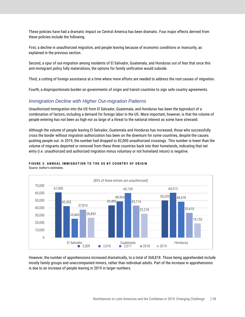These policies have had a dramatic impact on Central America has been dramatic. Four major effects derived from these policies include the following.

First, a decline in unauthorized migration, and people leaving because of economic conditions or insecurity, as explained in the previous section.

Second, a spur of out-migration among residents of El Salvador, Guatemala, and Honduras out of fear that once this anti-immigrant policy fully materializes, the options for family unification would subside.

Third, a cutting of foreign assistance at a time where more efforts are needed to address the root causes of migration.

Fourth, a disproportionate burden on governments of origin and transit countries to sign safe country agreements.

### <span id="page-16-0"></span>*Immigration Decline with Higher Out-migration Patterns*

Unauthorized immigration into the US from El Salvador, Guatemala, and Honduras has been the byproduct of a combination of factors, including a demand for foreign labor in the US. More important, however, is that the volume of people entering has not been as high nor as large of a threat to the national interest as some have stressed.

Although the volume of people leaving El Salvador, Guatemala and Honduras has increased, those who successfully cross the border without migration authorization has been on the downturn for some countries, despite the causes pushing people out. In 2019, the number had dropped to 82,000 unauthorized crossings. This number is lower than the volume of migrants deported or removed from these three countries back into their homelands, indicating that net entry (i.e. unauthorized and authorized migration minus voluntary or not homeland return) is negative.







However, the number of apprehensions increased dramatically, to a total of 368,818. Those being apprehended include mostly family groups and unaccompanied minors, rather than individual adults. Part of the increase in apprehensions is due to an increase of people leaving in 2019 in larger numbers.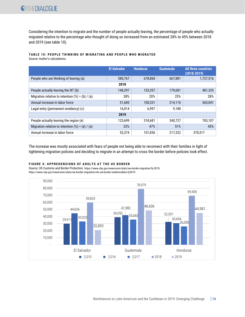Considering the intention to migrate and the number of people actually leaving, the percentage of people who actually migrated relative to the percentage who thought of doing so increased from an estimated 28% to 45% between 2018 and 2019 (see table 10).

### **TABLE 10: PEOPLE THINKING OF MIGRATING AND PEOPLE WHO MIGRATED**

Source: Author's calculations.

|                                                    | <b>El Salvador</b> | <b>Honduras</b> | <b>Guatemala</b> | <b>All three countries</b><br>$(2018 - 2019)$ |
|----------------------------------------------------|--------------------|-----------------|------------------|-----------------------------------------------|
| People who are thinking of leaving (a)             | 380,767            | 678,868         | 667,881          | 1,727,516                                     |
|                                                    | 2018               |                 |                  |                                               |
| People actually leaving the NT (b)                 | 148,297            | 153,357         | 179,681          | 481,335                                       |
| Migration relative to intention $(\%) = (b) / (a)$ | 38%                | 20%             | 25%              | 28%                                           |
| Annual increase in labor force                     | 51,600             | 100,331         | 214,110          | 365,041                                       |
| Legal entry (permanent residency) (c)              | 16,014             | 6,997           | 9,188            |                                               |
|                                                    | 2019               |                 |                  |                                               |
| People actually leaving the region (e)             | 123,699            | 318,681         | 340,727          | 783,107                                       |
| Migration relative to intention $(*) = (e) / (a)$  | 32%                | 47%             | 51%              | 45%                                           |
| Annual increase in labor force                     | 52,374             | 101,836         | 217,322          | 370,517                                       |

The increase was mostly associated with fears of people not being able to reconnect with their families in light of tightening migration policies and deciding to migrate in an attempt to cross the border before policies took effect.

#### **FIGURE 4: APPREHENSIONS OF ADULTS AT THE US BORDER**

Source: US Customs and Border Protection. https://www.cbp.gov/newsroom/stats/sw-border-migration/fy-2019; https://www.cbp.gov/newsroom/stats/sw-border-migration/ofo-sw-border-inadmissibles-fy2019.

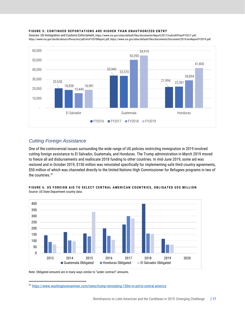#### **FIGURE 5: CONTINUED DEPORTATIONS ARE HIGHER THAN UNAUTHORIZED ENTRY**

Sources: US Immigration and Customs Enforcement, https://www.ice.gov/sites/default/files/documents/Report/2017/iceEndOfYearFY2017.pdf; [https://www.ice.gov/doclib/about/offices/ero/pdf/eroFY2018Report.pdf;](https://www.ice.gov/doclib/about/offices/ero/pdf/eroFY2018Report.pdf) [https://www.ice.gov/sites/default/files/documents/Document/2019/eroReportFY2019.pdf.](https://www.ice.gov/sites/default/files/documents/Document/2019/eroReportFY2019.pdf)



# <span id="page-18-0"></span>*Cutting Foreign Assistance*

One of the controversial issues surrounding the wide range of US policies restricting immigration in 2019 involved cutting foreign assistance to El Salvador, Guatemala, and Honduras. The Trump administration in March 2019 moved to freeze all aid disbursements and reallocate 2018 funding to other countries. In mid-June 2019, some aid was restored and in October 2019, \$150 million was reinstated specifically for implementing safe third country agreements, \$50 million of which was channeled directly to the United Nations High Commissioner for Refugees programs in two of the countries.<sup>21</sup>



FIGURE 6. US FOREIGN AID TO SELECT CENTRAL AMERICAN COUNTRIES, OBLIGATED US\$ MILLION Source: US State Department country data.

Note: Obligated amounts are in many ways similar to "under contract" amounts.

<sup>21</sup> <https://www.washingtonexaminer.com/news/trump-reinstating-150m-in-aid-to-central-america>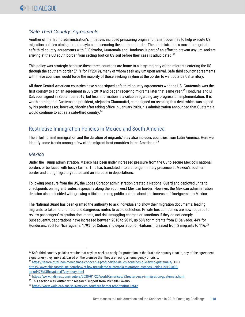# <span id="page-19-0"></span>*'Safe Third Country' Agreements*

Another of the Trump administration's initiatives included pressuring origin and transit countries to help execute US migration policies aiming to curb asylum and securing the southern border. The administration's move to negotiate safe third country agreements with El Salvador, Guatemala and Honduras is part of an effort to prevent asylum-seekers arriving at the US south border from setting foot on US soil before their case is adjudicated.<sup>22</sup>

This policy was strategic because these three countries are home to a large majority of the migrants entering the US through the southern border (71% for FY2019), many of whom seek asylum upon arrival. Safe third country agreements with these countries would force the majority of those seeking asylum at the border to wait outside US territory.

All three Central American countries have since signed safe third country agreements with the US. Guatemala was the first country to sign an agreement in July 2019 and began receiving migrants later that same year.<sup>23</sup> Honduras and El Salvador signed in September 2019, but less information is available regarding any progress on implementation. It is worth nothing that Guatemalan president, Alejandro Giammattei, campaigned on revoking this deal, which was signed by his predecessor; however, shortly after taking office in January 2020, his administration announced that Guatemala would continue to act as a safe-third country.<sup>24</sup>

# <span id="page-19-1"></span>Restrictive Immigration Policies in Mexico and South America

The effort to limit immigration and the duration of migrants' stay also includes countries from Latin America. Here we identify some trends among a few of the migrant host countries in the Americas. <sup>25</sup>

## <span id="page-19-2"></span>*Mexico*

Under the Trump administration, Mexico has been under increased pressure from the US to secure Mexico's national borders or be faced with heavy tariffs. This has translated into a stronger military presence at Mexico's southern border and along migratory routes and an increase in deportations.

Following pressure from the US, the López Obrador administration created a National Guard and deployed units to checkpoints on migrant routes, especially along the southwest Mexican border. However, the Mexican administration decision also coincided with growing criticism among public opinion about the increase of foreigners into Mexico.

The National Guard has been granted the authority to ask individuals to show their migration documents, leading migrants to take more remote and dangerous routes to avoid detection. Private bus companies are now required to review passengers' migration documents, and risk smuggling charges or sanctions if they do not comply. Subsequently, deportations have increased between 2018 to 2019, up 58% for migrants from El Salvador, 44% for Hondurans, 30% for Nicaraguans, 179% for Cuban, and deportation of Haitians increased from 2 migrants to 116.<sup>26</sup>

23 <https://lahora.gt/dubon-merecemos-conocer-la-profundidad-de-los-acuerdos-que-firmo-guatemala/> AND [https://www.chicagotribune.com/hoy/ct-hoy-presidente-guatemala-migratorio-estados-unidos-20191003](https://www.chicagotribune.com/hoy/ct-hoy-presidente-guatemala-migratorio-estados-unidos-20191003-jprxof473bf3fhnvp6ctxf7zey-story.html) [jprxof473bf3fhnvp6ctxf7zey-story.html](https://www.chicagotribune.com/hoy/ct-hoy-presidente-guatemala-migratorio-estados-unidos-20191003-jprxof473bf3fhnvp6ctxf7zey-story.html)

<sup>24</sup> <https://www.nytimes.com/reuters/2020/01/22/world/americas/22reuters-usa-immigration-guatemala.html>

 $^{22}$  Safe third country policies require that asylum-seekers apply for protection in the first safe country (that is, any of the agreement signatories) they arrive at, based on the premise that they are facing an emergency or crisis.

<sup>&</sup>lt;sup>25</sup> This section was written with research support from Michelle Faverio.

<sup>26</sup> [https://www.wola.org/analysis/mexico-southern-border-report/#ftnt\\_ref42](https://www.wola.org/analysis/mexico-southern-border-report/#ftnt_ref42)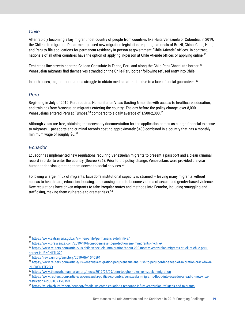## <span id="page-20-0"></span>*Chile*

After rapidly becoming a key migrant host country of people from countries like Haiti, Venezuela or Colombia, in 2019, the Chilean Immigration Department passed new migration legislation requiring nationals of Brazil, China, Cuba, Haiti, and Peru to file applications for permanent residency in-person at government "Chile Atiende" offices. In contrast, nationals of all other countries have the option of applying in-person at Chile Atiende offices or applying online.<sup>27</sup>

Tent cities line streets near the Chilean Consulate in Tacna, Peru and along the Chile-Peru Chacalluta border.<sup>28</sup> Venezuelan migrants find themselves stranded on the Chile-Peru border following refused entry into Chile.

In both cases, migrant populations struggle to obtain medical attention due to a lack of social guarantees.<sup>29</sup>

## <span id="page-20-1"></span>*Peru*

Beginning in July of 2019, Peru requires Humanitarian Visas (lasting 6 months with access to healthcare, education, and training) from Venezuelan migrants entering the country. The day before the policy change, over 8,000 Venezuelans entered Peru at Tumbes.<sup>30</sup> compared to a daily average of 1,500-2,000.<sup>31</sup>

Although visas are free, obtaining the necessary documentation for the application comes as a large financial expense to migrants – passports and criminal records costing approximately \$400 combined in a country that has a monthly minimum wage of roughly \$6.<sup>32</sup>

# <span id="page-20-2"></span>*Ecuador*

Ecuador has implemented new regulations requiring Venezuelan migrants to present a passport and a clean criminal record in order to enter the country (Decree 826). Prior to the policy change, Venezuelans were provided a 2-year humanitarian visa, granting them access to social services.  $33$ 

Following a large influx of migrants, Ecuador's institutional capacity is strained – leaving many migrants without access to health care, education, housing, and causing some to become victims of sexual and gender-based violence. New regulations have driven migrants to take irregular routes and methods into Ecuador, including smuggling and trafficking, making them vulnerable to greater risks.<sup>34</sup>

<sup>27</sup> <https://www.extranjeria.gob.cl/vivir-en-chile/permanencia-definitiva/>

<sup>28</sup> <https://www.pressenza.com/2019/10/from-openness-to-protectionism-immigrants-in-chile/>

<sup>29</sup> [https://www.reuters.com/article/us-chile-venezuela-immigration/about-200-mostly-venezuelan-migrants-stuck-at-chile-peru-](https://www.reuters.com/article/us-chile-venezuela-immigration/about-200-mostly-venezuelan-migrants-stuck-at-chile-peru-border-idUSKCN1TL320)

[border-idUSKCN1TL320](https://www.reuters.com/article/us-chile-venezuela-immigration/about-200-mostly-venezuelan-migrants-stuck-at-chile-peru-border-idUSKCN1TL320)

<sup>30</sup> <https://news.un.org/en/story/2019/06/1040591>

<sup>31</sup> [https://www.reuters.com/article/us-venezuela-migration-peru/venezuelans-rush-to-peru-border-ahead-of-migration-crackdown](https://www.reuters.com/article/us-venezuela-migration-peru/venezuelans-rush-to-peru-border-ahead-of-migration-crackdown-idUSKCN1TF2CQ)[idUSKCN1TF2CQ](https://www.reuters.com/article/us-venezuela-migration-peru/venezuelans-rush-to-peru-border-ahead-of-migration-crackdown-idUSKCN1TF2CQ)

<sup>32</sup> <https://www.thenewhumanitarian.org/news/2019/07/09/peru-tougher-rules-venezuelan-migration>

<sup>33</sup> [https://www.reuters.com/article/us-venezuela-politics-colombia/venezuelan-migrants-flood-into-ecuador-ahead-of-new-visa](https://www.reuters.com/article/us-venezuela-politics-colombia/venezuelan-migrants-flood-into-ecuador-ahead-of-new-visa-restrictions-idUSKCN1VG1SX)[restrictions-idUSKCN1VG1SX](https://www.reuters.com/article/us-venezuela-politics-colombia/venezuelan-migrants-flood-into-ecuador-ahead-of-new-visa-restrictions-idUSKCN1VG1SX)

<sup>34</sup> https://reliefweb.int/report/ecuador/fragile-welcome-ecuador-s-response-influx-venezuelan-refugees-and-migrants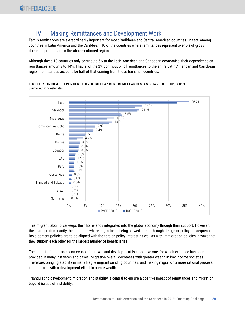# <span id="page-21-0"></span>IV. Making Remittances and Development Work

Family remittances are extraordinarily important for most Caribbean and Central American countries. In fact, among countries in Latin America and the Caribbean, 10 of the countries where remittances represent over 5% of gross domestic product are in the aforementioned regions.

Although these 10 countries only contribute 5% to the Latin American and Caribbean economies, their dependence on remittances amounts to 14%. That is, of the 2% contribution of remittances to the entire Latin American and Caribbean region, remittances account for half of that coming from these ten small countries.

**FIGURE 7: INCOME DEPENDENCE ON REMITTANCES: REMITTANCES AS SHARE OF GDP, 2019** Source: Author's estimates.



This migrant labor force keeps their homelands integrated into the global economy through their support. However, these are predominantly the countries where migration is being slowed, either through design or policy consequence. Development policies are to be aligned with the foreign policy interest as well as with immigration policies in ways that they support each other for the largest number of beneficiaries.

The impact of remittances on economic growth and development is a positive one, for which evidence has been provided in many instances and cases. Migration overall decreases with greater wealth in low income societies. Therefore, bringing stability in many fragile migrant sending countries, and making migration a more rational process, is reinforced with a development effort to create wealth.

Triangulating development, migration and stability is central to ensure a positive impact of remittances and migration beyond issues of instability.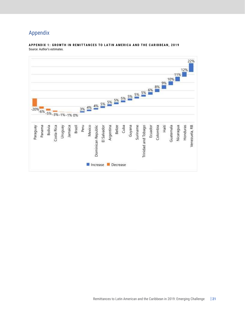# <span id="page-22-0"></span>Appendix

#### **APPENDIX 1: GROWTH IN REMITTANCES TO LATIN AMERICA AND THE CARIBBEAN, 2019** Source: Author's estimates.